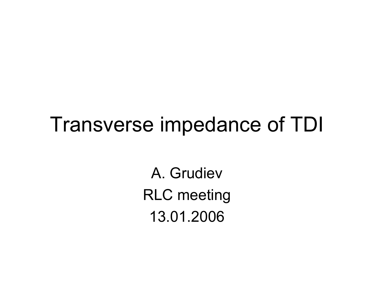# Transverse impedance of TDI

A. GrudievRLC meeting 13.01.2006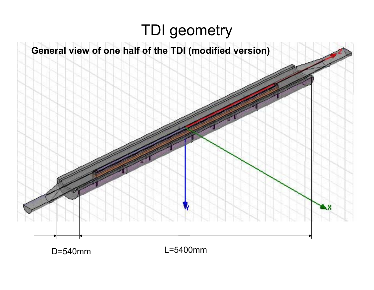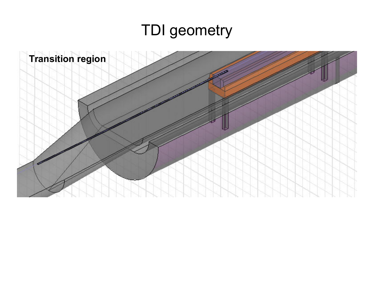### TDI geometry

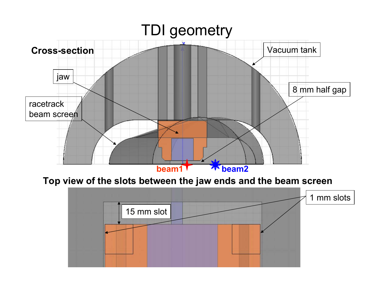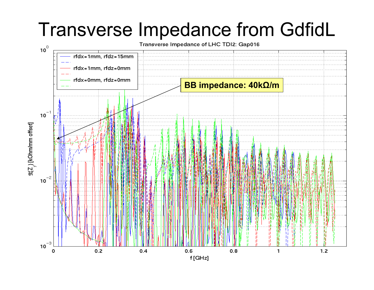# Transverse Impedance from GdfidL

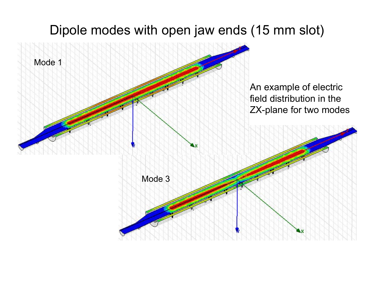#### Dipole modes with open jaw ends (15 mm slot)

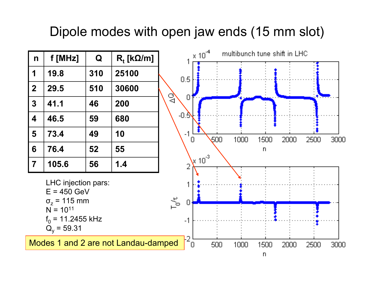#### Dipole modes with open jaw ends (15 mm slot)

| $\mathsf{n}$                                                                                                                                            | f [MHz] | Q   | $R_t$ [k $\Omega/m$ ] |              |                | $\times$ 10 <sup>-4</sup> |      |              | multibunch tune shift in LHC |      |      |
|---------------------------------------------------------------------------------------------------------------------------------------------------------|---------|-----|-----------------------|--------------|----------------|---------------------------|------|--------------|------------------------------|------|------|
|                                                                                                                                                         |         |     |                       |              |                |                           |      |              |                              |      |      |
| 1                                                                                                                                                       | 19.8    | 310 | 25100                 |              | 0.5            |                           |      |              |                              |      |      |
| $\boldsymbol{2}$                                                                                                                                        | 29.5    | 510 | 30600                 |              |                |                           |      |              |                              |      |      |
| $\mathbf{3}$                                                                                                                                            | 41.1    | 46  | 200                   | $\mathbb{C}$ | $\Box$         |                           |      |              |                              |      |      |
| $\overline{\mathbf{4}}$                                                                                                                                 | 46.5    | 59  | 680                   |              | -0.5           |                           |      |              |                              |      |      |
| 5                                                                                                                                                       | 73.4    | 49  | 10                    |              | $-1$<br>$\Box$ | 500                       | 1000 | 1500         | 2000                         | 2500 | 3000 |
| 6                                                                                                                                                       | 76.4    | 52  | 55                    |              |                |                           |      | $\mathsf{n}$ |                              |      |      |
| $\overline{7}$                                                                                                                                          | 105.6   | 56  | 1.4                   |              | $\overline{2}$ | $X^{10^{3}}$              |      |              |                              |      |      |
| LHC injection pars:<br>$E = 450$ GeV<br>$T_{0}^{\prime}\tau$<br>$\sigma$ <sub>z</sub> = 115 mm<br>$N = 10^{11}$<br>$f_0$ = 11.2455 kHz<br>$Q_v = 59.31$ |         |     |                       |              | $\Box$         |                           |      |              |                              |      |      |
| $\frac{12}{0}$<br>Modes 1 and 2 are not Landau-damped                                                                                                   |         |     |                       |              |                | 500                       | 1000 | 1500         | 2000                         | 2500 | 3000 |
|                                                                                                                                                         |         |     |                       |              |                |                           |      | $\mathsf{n}$ |                              |      |      |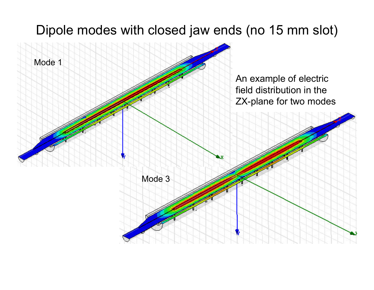#### Dipole modes with closed jaw ends (no 15 mm slot)

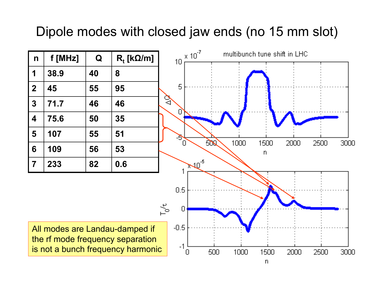#### Dipole modes with closed jaw ends (no 15 mm slot)

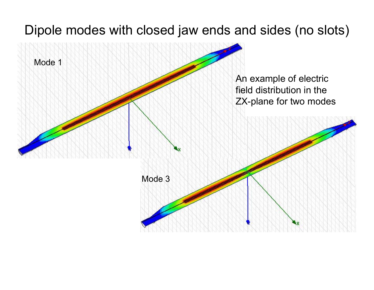#### Dipole modes with closed jaw ends and sides (no slots)

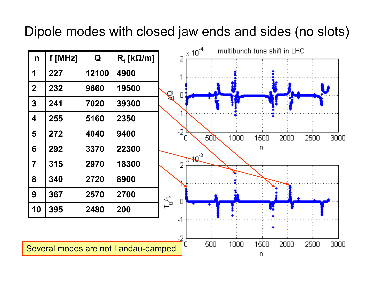#### Dipole modes with closed jaw ends and sides (no slots)

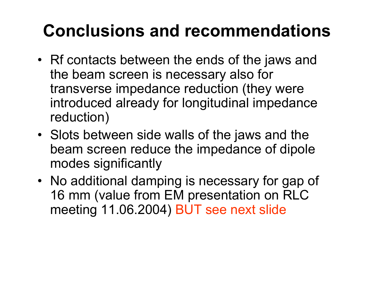## **Conclusions and recommendations**

- Rf contacts between the ends of the jaws and the beam screen is necessary also for transverse impedance reduction (they were introduced already for longitudinal impedance reduction)
- Slots between side walls of the jaws and the beam screen reduce the impedance of dipole modes significantly
- No additional damping is necessary for gap of 16 mm (value from EM presentation on RLC meeting 11.06.2004) BUT see next slide